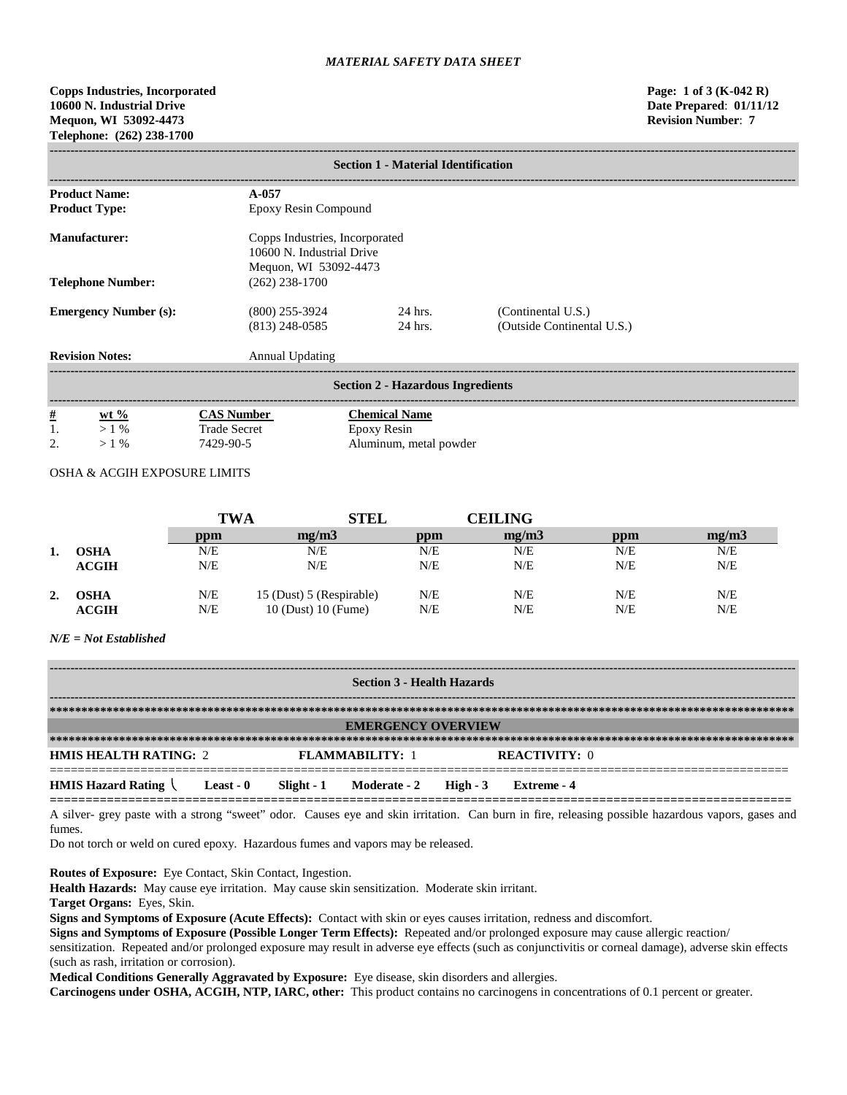**Copps Industries, Incorporated Page: 1 of 3 (K-042 R) 10600 N. Industrial Drive Date Prepared**: **01/11/12 Mequon, WI 53092-4473 Revision Number**: **7 Telephone: (262) 238-1700**

|                              | <b>Section 1 - Material Identification</b> |                                      |                                                                                      |                                                  |  |  |  |  |  |
|------------------------------|--------------------------------------------|--------------------------------------|--------------------------------------------------------------------------------------|--------------------------------------------------|--|--|--|--|--|
|                              | <b>Product Name:</b>                       | $A - 0.57$                           |                                                                                      |                                                  |  |  |  |  |  |
|                              | <b>Product Type:</b>                       | Epoxy Resin Compound                 |                                                                                      |                                                  |  |  |  |  |  |
| <b>Manufacturer:</b>         |                                            |                                      | Copps Industries, Incorporated<br>10600 N. Industrial Drive<br>Mequon, WI 53092-4473 |                                                  |  |  |  |  |  |
| <b>Telephone Number:</b>     |                                            | $(262)$ 238-1700                     |                                                                                      |                                                  |  |  |  |  |  |
| <b>Emergency Number (s):</b> |                                            | $(800)$ 255-3924<br>$(813)$ 248-0585 | 24 hrs.<br>24 hrs.                                                                   | (Continental U.S.)<br>(Outside Continental U.S.) |  |  |  |  |  |
| <b>Revision Notes:</b>       |                                            | Annual Updating                      |                                                                                      |                                                  |  |  |  |  |  |
|                              |                                            |                                      | <b>Section 2 - Hazardous Ingredients</b>                                             |                                                  |  |  |  |  |  |
|                              | $wt %$                                     | <b>CAS Number</b>                    | <b>Chemical Name</b>                                                                 |                                                  |  |  |  |  |  |
| $\frac{\#}{1}$               | $>1\%$                                     | <b>Trade Secret</b>                  | Epoxy Resin                                                                          |                                                  |  |  |  |  |  |
| 2.                           | $>1\%$                                     | 7429-90-5                            | Aluminum, metal powder                                                               |                                                  |  |  |  |  |  |

# OSHA & ACGIH EXPOSURE LIMITS

|    |                             | TWA        | <b>STEL</b>                                     | <b>CEILING</b> |            |            |            |  |
|----|-----------------------------|------------|-------------------------------------------------|----------------|------------|------------|------------|--|
|    |                             | ppm        | me/m3                                           | ppm            | mg/m3      | ppm        | mg/m3      |  |
|    | OSHA                        | N/E        | N/E                                             | N/E            | N/E        | N/E        | N/E        |  |
|    | <b>ACGIH</b>                | N/E        | N/E                                             | N/E            | N/E        | N/E        | N/E        |  |
| 2. | <b>OSHA</b><br><b>ACGIH</b> | N/E<br>N/E | 15 (Dust) 5 (Respirable)<br>10 (Dust) 10 (Fume) | N/E<br>N/E     | N/E<br>N/E | N/E<br>N/E | N/E<br>N/E |  |

## *N/E = Not Established*

| <b>Section 3 - Health Hazards</b>      |                             |                          |  |  |  |  |  |  |
|----------------------------------------|-----------------------------|--------------------------|--|--|--|--|--|--|
|                                        |                             |                          |  |  |  |  |  |  |
|                                        | <b>EMERGENCY OVERVIEW</b>   |                          |  |  |  |  |  |  |
|                                        |                             |                          |  |  |  |  |  |  |
| <b>HMIS HEALTH RATING: 2</b>           | <b>FLAMMARILITY: 1</b>      | <b>REACTIVITY: 0</b>     |  |  |  |  |  |  |
| <b>HMIS Hazard Rating</b><br>Least - 0 | Moderate - 2<br>Slight $-1$ | High $-3$<br>Extreme - 4 |  |  |  |  |  |  |

**========================================================================================================** A silver- grey paste with a strong "sweet" odor. Causes eye and skin irritation. Can burn in fire, releasing possible hazardous vapors, gases and fumes.

Do not torch or weld on cured epoxy. Hazardous fumes and vapors may be released.

**Routes of Exposure:** Eye Contact, Skin Contact, Ingestion.

**Health Hazards:** May cause eye irritation. May cause skin sensitization. Moderate skin irritant.

**Target Organs:** Eyes, Skin.

**Signs and Symptoms of Exposure (Acute Effects):** Contact with skin or eyes causes irritation, redness and discomfort.

**Signs and Symptoms of Exposure (Possible Longer Term Effects):** Repeated and/or prolonged exposure may cause allergic reaction/ sensitization. Repeated and/or prolonged exposure may result in adverse eye effects (such as conjunctivitis or corneal damage), adverse skin effects (such as rash, irritation or corrosion).

**Medical Conditions Generally Aggravated by Exposure:** Eye disease, skin disorders and allergies.

**Carcinogens under OSHA, ACGIH, NTP, IARC, other:** This product contains no carcinogens in concentrations of 0.1 percent or greater.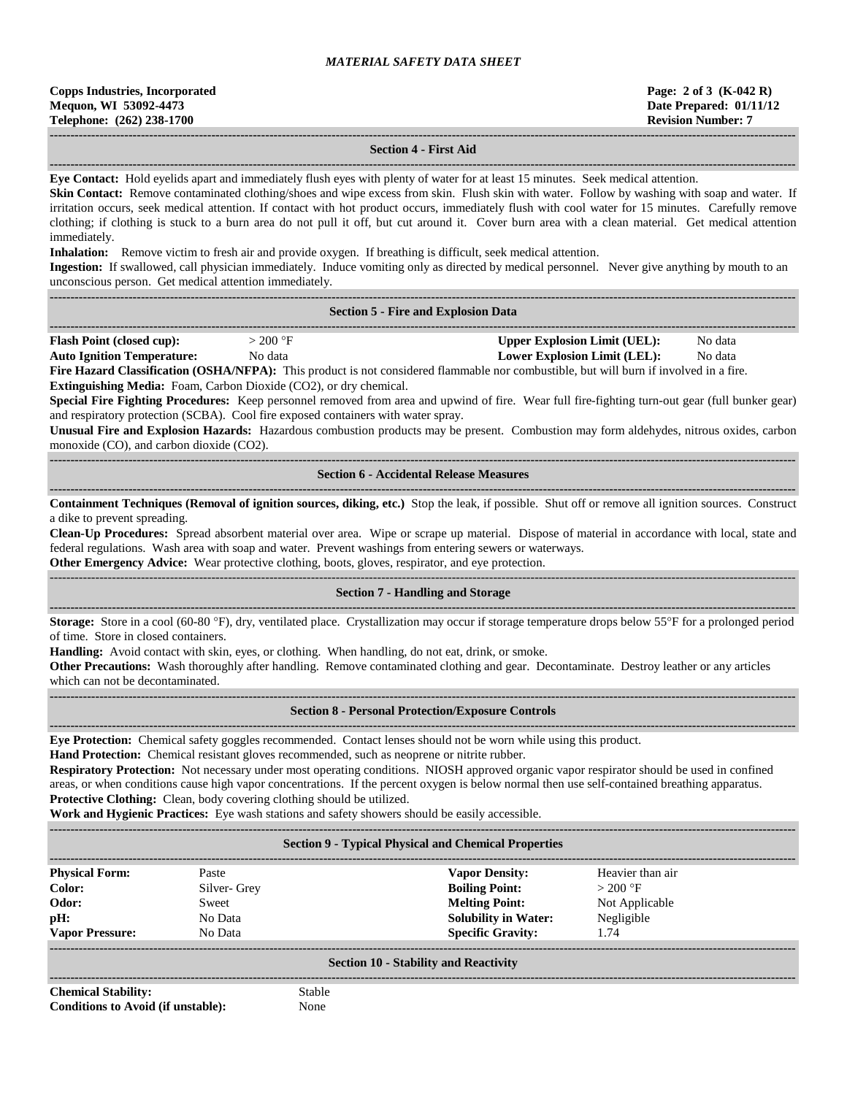| <b>Copps Industries, Incorporated</b> |  |  |  |  |  |  |
|---------------------------------------|--|--|--|--|--|--|
| Mequon, WI 53092-4473                 |  |  |  |  |  |  |
| Telephone: (262) 238-1700             |  |  |  |  |  |  |

## **------------------------------------------------------------------------------------------------------------------------------------------------------------------------------------ Section 4 - First Aid**

**------------------------------------------------------------------------------------------------------------------------------------------------------------------------------------ Eye Contact:** Hold eyelids apart and immediately flush eyes with plenty of water for at least 15 minutes. Seek medical attention.

**Skin Contact:** Remove contaminated clothing/shoes and wipe excess from skin. Flush skin with water. Follow by washing with soap and water. If irritation occurs, seek medical attention. If contact with hot product occurs, immediately flush with cool water for 15 minutes. Carefully remove clothing; if clothing is stuck to a burn area do not pull it off, but cut around it. Cover burn area with a clean material. Get medical attention immediately.

**Inhalation:** Remove victim to fresh air and provide oxygen. If breathing is difficult, seek medical attention.

**Ingestion:** If swallowed, call physician immediately. Induce vomiting only as directed by medical personnel. Never give anything by mouth to an unconscious person. Get medical attention immediately. **------------------------------------------------------------------------------------------------------------------------------------------------------------------------------------**

#### **Section 5 - Fire and Explosion Data**

|                                  |                  |                                               |              | --------- |
|----------------------------------|------------------|-----------------------------------------------|--------------|-----------|
| <b>Flash Point (closed cup):</b> | 200 <sup>o</sup> | <b>Inner</b><br><b>Explosion Limit (UEL).</b> | Nο<br>) data |           |
|                                  | `                | . <del>. .</del>                              |              |           |

**Auto Ignition Temperature:** No data **Lower Explosion Limit (LEL):** No data **Fire Hazard Classification (OSHA/NFPA):** This product is not considered flammable nor combustible, but will burn if involved in a fire.

**Extinguishing Media:** Foam, Carbon Dioxide (CO2), or dry chemical.

**Special Fire Fighting Procedures:** Keep personnel removed from area and upwind of fire. Wear full fire-fighting turn-out gear (full bunker gear) and respiratory protection (SCBA). Cool fire exposed containers with water spray.

**Unusual Fire and Explosion Hazards:** Hazardous combustion products may be present. Combustion may form aldehydes, nitrous oxides, carbon monoxide (CO), and carbon dioxide (CO2).

**------------------------------------------------------------------------------------------------------------------------------------------------------------------------------------ Section 6 - Accidental Release Measures**

**------------------------------------------------------------------------------------------------------------------------------------------------------------------------------------ Containment Techniques (Removal of ignition sources, diking, etc.)** Stop the leak, if possible. Shut off or remove all ignition sources. Construct a dike to prevent spreading.

**Clean-Up Procedures:** Spread absorbent material over area. Wipe or scrape up material. Dispose of material in accordance with local, state and federal regulations. Wash area with soap and water. Prevent washings from entering sewers or waterways.

**Other Emergency Advice:** Wear protective clothing, boots, gloves, respirator, and eye protection.

## ------------------------------------------------------------------------------------------------------------------------------------------------------------------------------------ **Section 7 - Handling and Storage ------------------------------------------------------------------------------------------------------------------------------------------------------------------------------------**

**Storage:** Store in a cool (60-80 °F), dry, ventilated place. Crystallization may occur if storage temperature drops below 55°F for a prolonged period of time. Store in closed containers.

**Handling:** Avoid contact with skin, eyes, or clothing. When handling, do not eat, drink, or smoke.

**Other Precautions:** Wash thoroughly after handling. Remove contaminated clothing and gear. Decontaminate. Destroy leather or any articles which can not be decontaminated.

**------------------------------------------------------------------------------------------------------------------------------------------------------------------------------------**

#### **------------------------------------------------------------------------------------------------------------------------------------------------------------------------------------ Section 8 - Personal Protection/Exposure Controls**

**Eye Protection:** Chemical safety goggles recommended. Contact lenses should not be worn while using this product.

**Hand Protection:** Chemical resistant gloves recommended, such as neoprene or nitrite rubber.

**Respiratory Protection:** Not necessary under most operating conditions. NIOSH approved organic vapor respirator should be used in confined areas, or when conditions cause high vapor concentrations. If the percent oxygen is below normal then use self-contained breathing apparatus. **Protective Clothing:** Clean, body covering clothing should be utilized.

**Work and Hygienic Practices:** Eye wash stations and safety showers should be easily accessible.

**------------------------------------------------------------------------------------------------------------------------------------------------------------------------------------**

# **Section 9 - Typical Physical and Chemical Properties**

| <b>Physical Form:</b>  | Paste       | <b>Vapor Density:</b>       | Heavier than air |
|------------------------|-------------|-----------------------------|------------------|
| Color:                 | Silver-Grey | <b>Boiling Point:</b>       | $>200$ °F        |
| Odor:                  | Sweet       | <b>Melting Point:</b>       | Not Applicable   |
| pH:                    | No Data     | <b>Solubility in Water:</b> | Negligible       |
| <b>Vapor Pressure:</b> | No Data     | <b>Specific Gravity:</b>    | 1.74             |
|                        |             |                             |                  |

## **Section 10 - Stability and Reactivity ------------------------------------------------------------------------------------------------------------------------------------------------------------------------------------**

**Chemical Stability:** Stable **Conditions to Avoid (if unstable):** None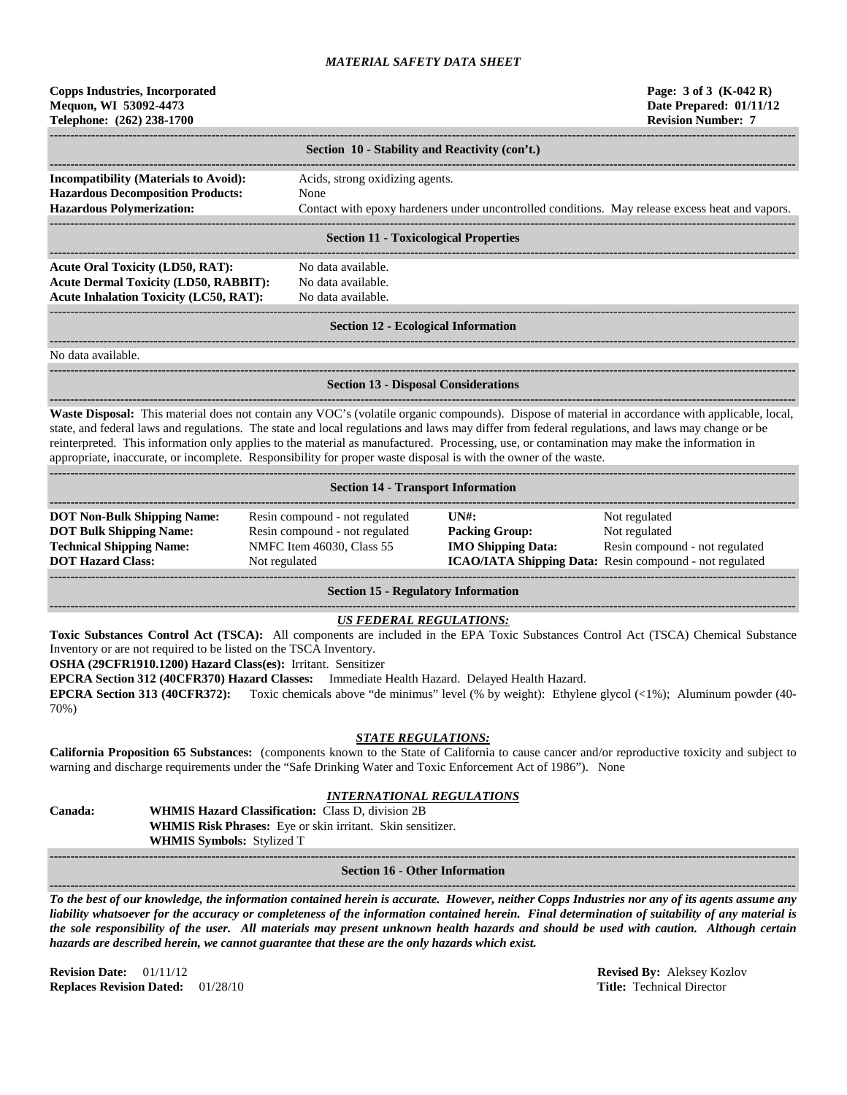| <b>Copps Industries, Incorporated</b><br>Mequon, WI 53092-4473<br>Telephone: (262) 238-1700 |    |
|---------------------------------------------------------------------------------------------|----|
|                                                                                             | Se |

| Section 10 - Stability and Reactivity (con't.)                                                                                                                                                                                    |                                                                                                 |  |  |  |  |  |  |
|-----------------------------------------------------------------------------------------------------------------------------------------------------------------------------------------------------------------------------------|-------------------------------------------------------------------------------------------------|--|--|--|--|--|--|
| <b>Incompatibility (Materials to Avoid):</b>                                                                                                                                                                                      | Acids, strong oxidizing agents.                                                                 |  |  |  |  |  |  |
| <b>Hazardous Decomposition Products:</b>                                                                                                                                                                                          | None                                                                                            |  |  |  |  |  |  |
| <b>Hazardous Polymerization:</b>                                                                                                                                                                                                  | Contact with epoxy hardeners under uncontrolled conditions. May release excess heat and vapors. |  |  |  |  |  |  |
|                                                                                                                                                                                                                                   |                                                                                                 |  |  |  |  |  |  |
|                                                                                                                                                                                                                                   | <b>Section 11 - Toxicological Properties</b>                                                    |  |  |  |  |  |  |
|                                                                                                                                                                                                                                   |                                                                                                 |  |  |  |  |  |  |
| <b>Acute Oral Toxicity (LD50, RAT):</b>                                                                                                                                                                                           | No data available.                                                                              |  |  |  |  |  |  |
| $\mathbf{r}$ . The state of the state of the state of the state of the state of the state of the state of the state of the state of the state of the state of the state of the state of the state of the state of the state of th |                                                                                                 |  |  |  |  |  |  |

**Acute Dermal Toxicity (LD50, RABBIT):** No data available. Acute Inhalation Toxicity (LC50, RAT): No data available.

**------------------------------------------------------------------------------------------------------------------------------------------------------------------------------------**

### ------------------------------------------------------------------------------------------------------------------------------------------------------------------------------------ **Section 12 - Ecological Information**

**------------------------------------------------------------------------------------------------------------------------------------------------------------------------------------**

No data available.

**Section 13 - Disposal Considerations**

**------------------------------------------------------------------------------------------------------------------------------------------------------------------------------------ Waste Disposal:** This material does not contain any VOC's (volatile organic compounds). Dispose of material in accordance with applicable, local, state, and federal laws and regulations. The state and local regulations and laws may differ from federal regulations, and laws may change or be reinterpreted. This information only applies to the material as manufactured. Processing, use, or contamination may make the information in appropriate, inaccurate, or incomplete. Responsibility for proper waste disposal is with the owner of the waste.

| <b>Section 14 - Transport Information</b> |                                |                                                |                                                                |  |  |  |  |
|-------------------------------------------|--------------------------------|------------------------------------------------|----------------------------------------------------------------|--|--|--|--|
|                                           |                                |                                                |                                                                |  |  |  |  |
| <b>DOT Non-Bulk Shipping Name:</b>        | Resin compound - not regulated | $\overline{I}$ $\overline{N}$ $\overline{H}$ : | Not regulated                                                  |  |  |  |  |
| <b>DOT Bulk Shipping Name:</b>            | Resin compound - not regulated | <b>Packing Group:</b>                          | Not regulated                                                  |  |  |  |  |
| <b>Technical Shipping Name:</b>           | NMFC Item 46030, Class 55      | <b>IMO Shipping Data:</b>                      | Resin compound - not regulated                                 |  |  |  |  |
| <b>DOT Hazard Class:</b>                  | Not regulated                  |                                                | <b>ICAO/IATA Shipping Data:</b> Resin compound - not regulated |  |  |  |  |
|                                           |                                |                                                |                                                                |  |  |  |  |
|                                           |                                |                                                |                                                                |  |  |  |  |

**Section 15 - Regulatory Information**

#### **------------------------------------------------------------------------------------------------------------------------------------------------------------------------------------** *US FEDERAL REGULATIONS:*

**Toxic Substances Control Act (TSCA):** All components are included in the EPA Toxic Substances Control Act (TSCA) Chemical Substance Inventory or are not required to be listed on the TSCA Inventory.

**OSHA (29CFR1910.1200) Hazard Class(es):** Irritant. Sensitizer

**EPCRA Section 312 (40CFR370) Hazard Classes:** Immediate Health Hazard. Delayed Health Hazard.

**------------------------------------------------------------------------------------------------------------------------------------------------------------------------------------**

**EPCRA Section 313 (40CFR372):** Toxic chemicals above "de minimus" level (% by weight): Ethylene glycol (<1%); Aluminum powder (40- 70%)

# *STATE REGULATIONS:*

**California Proposition 65 Substances:** (components known to the State of California to cause cancer and/or reproductive toxicity and subject to warning and discharge requirements under the "Safe Drinking Water and Toxic Enforcement Act of 1986"). None

#### *INTERNATIONAL REGULATIONS*

| <b>Canada:</b> | <b>WHMIS Hazard Classification: Class D. division 2B</b>          |
|----------------|-------------------------------------------------------------------|
|                | <b>WHMIS Risk Phrases:</b> Eye or skin irritant. Skin sensitizer. |
|                | <b>WHMIS Symbols: Stylized T</b>                                  |

**------------------------------------------------------------------------------------------------------------------------------------------------------------------------------------**

## **Section 16 - Other Information**

*To the best of our knowledge, the information contained herein is accurate. However, neither Copps Industries nor any of its agents assume any liability whatsoever for the accuracy or completeness of the information contained herein. Final determination of suitability of any material is the sole responsibility of the user. All materials may present unknown health hazards and should be used with caution. Although certain hazards are described herein, we cannot guarantee that these are the only hazards which exist.*

**Revision Date:** 01/11/12 **Revised By:** Aleksey Kozlov **Replaces Revision Dated:** 01/28/10 **Title:** Technical Director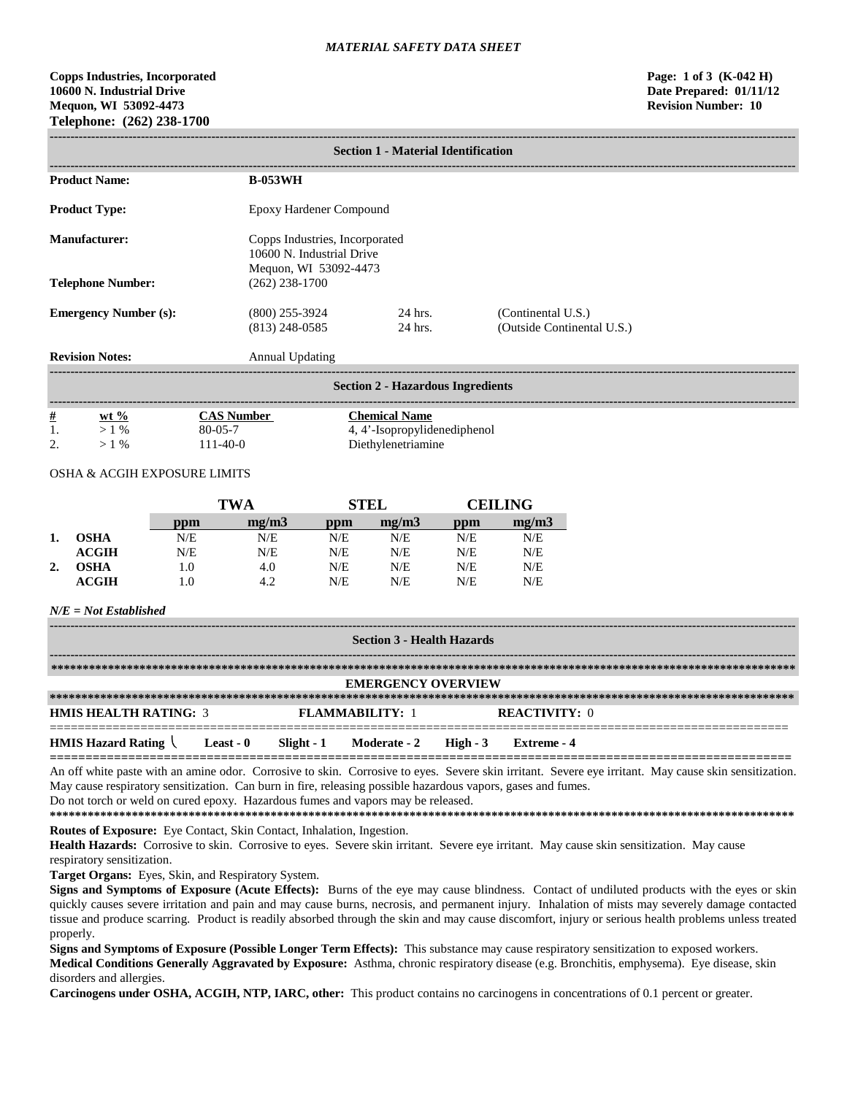**Copps Industries, Incorporated Page: 1 of 3 (K-042 H) 10600 N. Industrial Drive Date Prepared: 01/11/12 Mequon, WI 53092-4473 Revision Number: 10 Telephone: (262) 238-1700**

|                                        | <b>Section 1 - Material Identification</b> |               |                                                                                      |     |                                                      |     |                    |                            |
|----------------------------------------|--------------------------------------------|---------------|--------------------------------------------------------------------------------------|-----|------------------------------------------------------|-----|--------------------|----------------------------|
| <b>Product Name:</b><br><b>B-053WH</b> |                                            |               |                                                                                      |     |                                                      |     |                    |                            |
|                                        | <b>Product Type:</b>                       |               | <b>Epoxy Hardener Compound</b>                                                       |     |                                                      |     |                    |                            |
|                                        | <b>Manufacturer:</b>                       |               | Copps Industries, Incorporated<br>10600 N. Industrial Drive<br>Mequon, WI 53092-4473 |     |                                                      |     |                    |                            |
|                                        | <b>Telephone Number:</b>                   |               | $(262)$ 238-1700                                                                     |     |                                                      |     |                    |                            |
| <b>Emergency Number (s):</b>           |                                            |               | $(800)$ 255-3924<br>$(813)$ 248-0585                                                 |     | 24 hrs.<br>24 hrs.                                   |     | (Continental U.S.) | (Outside Continental U.S.) |
|                                        | <b>Revision Notes:</b>                     |               | <b>Annual Updating</b>                                                               |     |                                                      |     |                    |                            |
|                                        |                                            |               |                                                                                      |     | <b>Section 2 - Hazardous Ingredients</b>             |     |                    |                            |
| $\frac{\#}{1}$                         | $wt \%$<br>$>1\%$                          | $80 - 05 - 7$ | <b>CAS Number</b>                                                                    |     | <b>Chemical Name</b><br>4, 4'-Isopropylidenediphenol |     |                    |                            |
| 2.                                     | $>1\%$                                     | $111-40-0$    |                                                                                      |     | Diethylenetriamine                                   |     |                    |                            |
|                                        | OSHA & ACGIH EXPOSURE LIMITS               |               |                                                                                      |     |                                                      |     |                    |                            |
|                                        |                                            |               | <b>TWA</b>                                                                           |     | <b>STEL</b>                                          |     | <b>CEILING</b>     |                            |
|                                        |                                            | ppm           | mg/m3                                                                                | ppm | mg/m3                                                | ppm | mg/m3              |                            |
| 1.                                     | <b>OSHA</b>                                | N/E           | N/E                                                                                  | N/E | N/E                                                  | N/E | N/E                |                            |
|                                        | <b>ACGIH</b>                               | N/E           | N/E                                                                                  | N/E | N/E                                                  | N/E | N/E                |                            |
| 2.                                     | <b>OSHA</b>                                | 1.0           | 4.0                                                                                  | N/E | N/E                                                  | N/E | N/E                |                            |
|                                        | <b>ACGIH</b>                               | 1.0           | 4.2                                                                                  | N/E | N/E                                                  | N/E | N/E                |                            |
|                                        | $N/E = Not$ Established                    |               |                                                                                      |     |                                                      |     |                    |                            |
|                                        | <b>Section 3 - Health Hazards</b>          |               |                                                                                      |     |                                                      |     |                    |                            |
|                                        |                                            |               |                                                                                      |     |                                                      |     |                    |                            |

|                              |           |            | <b>EMERGENCY OVERVIEW</b> |                      |
|------------------------------|-----------|------------|---------------------------|----------------------|
|                              |           |            |                           |                      |
| <b>HMIS HEALTH RATING: 3</b> |           |            | <b>FLAMMARILITY: 1</b>    | <b>REACTIVITY: 0</b> |
|                              |           |            |                           |                      |
| <b>HMIS Hazard Rating</b>    | Least - 0 | Slight - 1 | Moderate - 2 High - 3     | Extreme - 4          |
|                              |           |            |                           |                      |

An off white paste with an amine odor. Corrosive to skin. Corrosive to eyes. Severe skin irritant. Severe eye irritant. May cause skin sensitization. May cause respiratory sensitization. Can burn in fire, releasing possible hazardous vapors, gases and fumes. Do not torch or weld on cured epoxy. Hazardous fumes and vapors may be released.

**\*\*\*\*\*\*\*\*\*\*\*\*\*\*\*\*\*\*\*\*\*\*\*\*\*\*\*\*\*\*\*\*\*\*\*\*\*\*\*\*\*\*\*\*\*\*\*\*\*\*\*\*\*\*\*\*\*\*\*\*\*\*\*\*\*\*\*\*\*\*\*\*\*\*\*\*\*\*\*\*\*\*\*\*\*\*\*\*\*\*\*\*\*\*\*\*\*\*\*\*\*\*\*\*\*\*\*\*\*\*\*\*\*\*\*\*\*\* Routes of Exposure:** Eye Contact, Skin Contact, Inhalation, Ingestion.

Health Hazards: Corrosive to skin. Corrosive to eyes. Severe skin irritant. Severe eye irritant. May cause skin sensitization. May cause respiratory sensitization.

**Target Organs:** Eyes, Skin, and Respiratory System.

**Signs and Symptoms of Exposure (Acute Effects):** Burns of the eye may cause blindness. Contact of undiluted products with the eyes or skin quickly causes severe irritation and pain and may cause burns, necrosis, and permanent injury. Inhalation of mists may severely damage contacted tissue and produce scarring. Product is readily absorbed through the skin and may cause discomfort, injury or serious health problems unless treated properly.

**Signs and Symptoms of Exposure (Possible Longer Term Effects):** This substance may cause respiratory sensitization to exposed workers. **Medical Conditions Generally Aggravated by Exposure:** Asthma, chronic respiratory disease (e.g. Bronchitis, emphysema). Eye disease, skin disorders and allergies.

**Carcinogens under OSHA, ACGIH, NTP, IARC, other:** This product contains no carcinogens in concentrations of 0.1 percent or greater.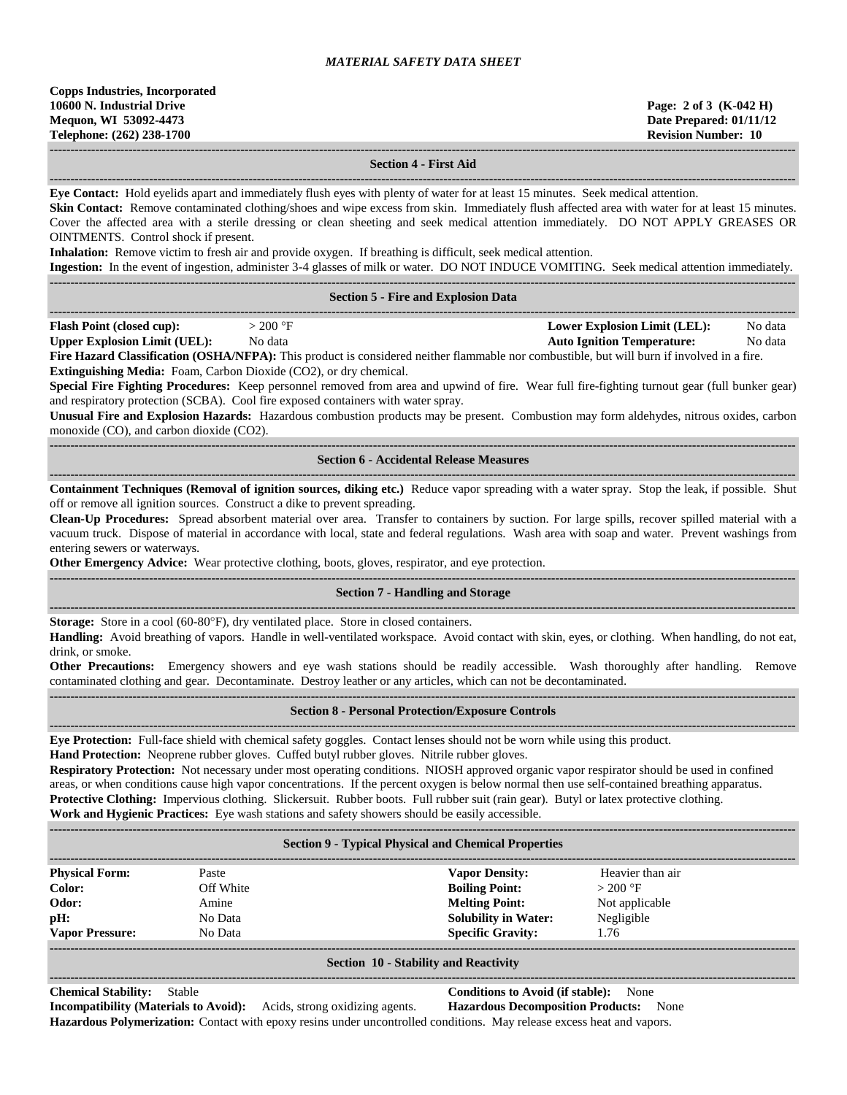**------------------------------------------------------------------------------------------------------------------------------------------------------------------------------------**

## **Section 4 - First Aid**

**Eye Contact:** Hold eyelids apart and immediately flush eyes with plenty of water for at least 15 minutes. Seek medical attention.

**------------------------------------------------------------------------------------------------------------------------------------------------------------------------------------**

**Skin Contact:** Remove contaminated clothing/shoes and wipe excess from skin. Immediately flush affected area with water for at least 15 minutes. Cover the affected area with a sterile dressing or clean sheeting and seek medical attention immediately. DO NOT APPLY GREASES OR OINTMENTS. Control shock if present. **Inhalation:** Remove victim to fresh air and provide oxygen. If breathing is difficult, seek medical attention. **Ingestion:** In the event of ingestion, administer 3-4 glasses of milk or water. DO NOT INDUCE VOMITING. Seek medical attention immediately. **------------------------------------------------------------------------------------------------------------------------------------------------------------------------------------ Section 5 - Fire and Explosion Data ------------------------------------------------------------------------------------------------------------------------------------------------------------------------------------ Flash Point (closed cup):**  $> 200 \text{ °F}$  **Lower Explosion Limit (LEL):** No data **Upper Explosion Limit (UEL):** No data **Auto Ignition Temperature:** No data **Fire Hazard Classification (OSHA/NFPA):** This product is considered neither flammable nor combustible, but will burn if involved in a fire. **Extinguishing Media:** Foam, Carbon Dioxide (CO2), or dry chemical. **Special Fire Fighting Procedures:** Keep personnel removed from area and upwind of fire. Wear full fire-fighting turnout gear (full bunker gear) and respiratory protection (SCBA). Cool fire exposed containers with water spray. **Unusual Fire and Explosion Hazards:** Hazardous combustion products may be present. Combustion may form aldehydes, nitrous oxides, carbon monoxide (CO), and carbon dioxide (CO2). **------------------------------------------------------------------------------------------------------------------------------------------------------------------------------------ Section 6 - Accidental Release Measures ------------------------------------------------------------------------------------------------------------------------------------------------------------------------------------ Containment Techniques (Removal of ignition sources, diking etc.)** Reduce vapor spreading with a water spray. Stop the leak, if possible. Shut off or remove all ignition sources. Construct a dike to prevent spreading. **Clean-Up Procedures:** Spread absorbent material over area. Transfer to containers by suction. For large spills, recover spilled material with a vacuum truck. Dispose of material in accordance with local, state and federal regulations. Wash area with soap and water. Prevent washings from entering sewers or waterways. **Other Emergency Advice:** Wear protective clothing, boots, gloves, respirator, and eye protection. **------------------------------------------------------------------------------------------------------------------------------------------------------------------------------------ Section 7 - Handling and Storage ------------------------------------------------------------------------------------------------------------------------------------------------------------------------------------ Storage:** Store in a cool (60-80°F), dry ventilated place. Store in closed containers. **Handling:** Avoid breathing of vapors. Handle in well-ventilated workspace. Avoid contact with skin, eyes, or clothing. When handling, do not eat, drink, or smoke. **Other Precautions:** Emergency showers and eye wash stations should be readily accessible. Wash thoroughly after handling. Remove contaminated clothing and gear. Decontaminate. Destroy leather or any articles, which can not be decontaminated. **------------------------------------------------------------------------------------------------------------------------------------------------------------------------------------ Section 8 - Personal Protection/Exposure Controls ------------------------------------------------------------------------------------------------------------------------------------------------------------------------------------ Eye Protection:** Full-face shield with chemical safety goggles. Contact lenses should not be worn while using this product. **Hand Protection:** Neoprene rubber gloves. Cuffed butyl rubber gloves. Nitrile rubber gloves. **Respiratory Protection:** Not necessary under most operating conditions. NIOSH approved organic vapor respirator should be used in confined areas, or when conditions cause high vapor concentrations. If the percent oxygen is below normal then use self-contained breathing apparatus. **Protective Clothing:** Impervious clothing. Slickersuit. Rubber boots. Full rubber suit (rain gear). Butyl or latex protective clothing. **Work and Hygienic Practices:** Eye wash stations and safety showers should be easily accessible. **------------------------------------------------------------------------------------------------------------------------------------------------------------------------------------ Section 9 - Typical Physical and Chemical Properties ------------------------------------------------------------------------------------------------------------------------------------------------------------------------------------ Physical Form:** Paste **Vapor Density:** Heavier than air **Color:** Off White **Boiling Point:**  $> 200 \text{ }^{\circ}\text{F}$ **Odor:** Amine **Melting Point:** Not applicable **pH:** No Data **Solubility in Water:** Negligible **Vapor Pressure:** No Data **Specific Gravity:** 1.76 **------------------------------------------------------------------------------------------------------------------------------------------------------------------------------------ Section 10 - Stability and Reactivity**

# **------------------------------------------------------------------------------------------------------------------------------------------------------------------------------------**

**Chemical Stability:** Stable **Conditions to Avoid (if stable):** None

**Incompatibility (Materials to Avoid):** Acids, strong oxidizing agents. **Hazardous Decomposition Products:** None **Hazardous Polymerization:** Contact with epoxy resins under uncontrolled conditions. May release excess heat and vapors.